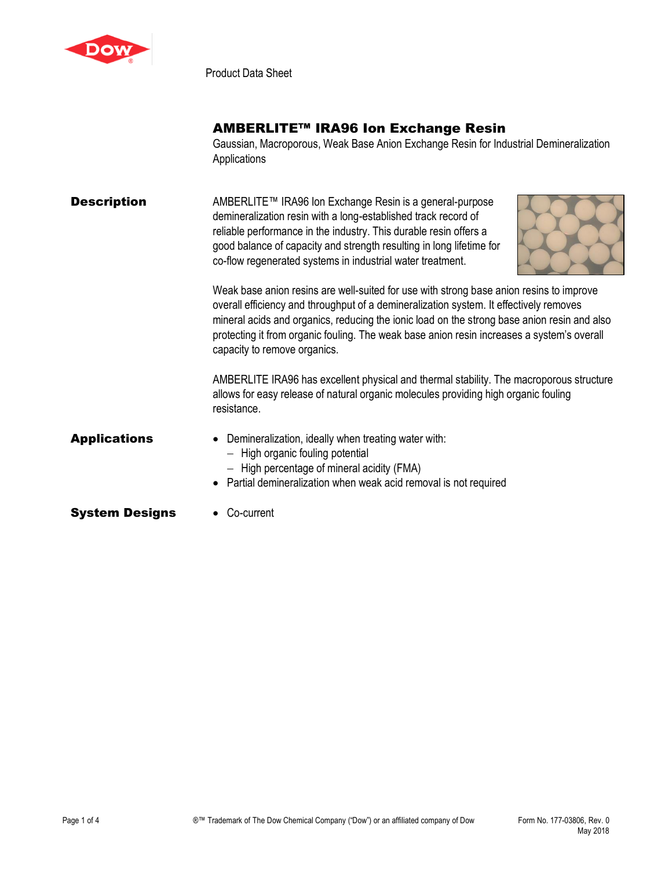

Product Data Sheet

## AMBERLITE™ IRA96 Ion Exchange Resin

Gaussian, Macroporous, Weak Base Anion Exchange Resin for Industrial Demineralization **Applications** 

**Description** AMBERLITE™ IRA96 Ion Exchange Resin is a general-purpose demineralization resin with a long-established track record of reliable performance in the industry. This durable resin offers a good balance of capacity and strength resulting in long lifetime for co-flow regenerated systems in industrial water treatment.



Weak base anion resins are well-suited for use with strong base anion resins to improve overall efficiency and throughput of a demineralization system. It effectively removes mineral acids and organics, reducing the ionic load on the strong base anion resin and also protecting it from organic fouling. The weak base anion resin increases a system's overall capacity to remove organics.

AMBERLITE IRA96 has excellent physical and thermal stability. The macroporous structure allows for easy release of natural organic molecules providing high organic fouling resistance.

- Applications Demineralization, ideally when treating water with:
	- − High organic fouling potential
	- − High percentage of mineral acidity (FMA)
	- Partial demineralization when weak acid removal is not required
- **System Designs Co-current**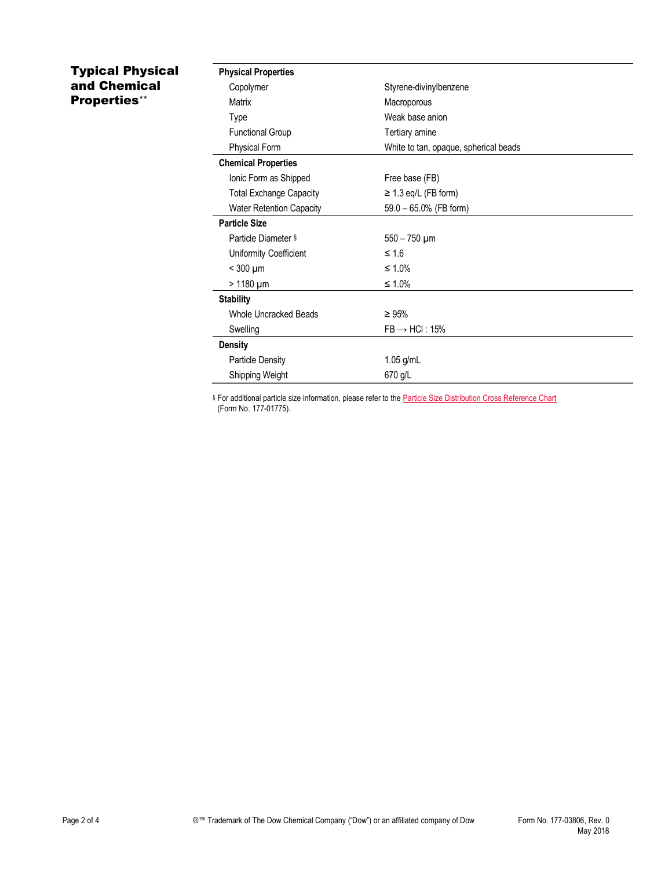## Typical Physical and Chemical Properties\*\*

| <b>Physical Properties</b>      |                                       |
|---------------------------------|---------------------------------------|
| Copolymer                       | Styrene-divinylbenzene                |
| Matrix                          | Macroporous                           |
| Type                            | Weak base anion                       |
| <b>Functional Group</b>         | Tertiary amine                        |
| Physical Form                   | White to tan, opaque, spherical beads |
| <b>Chemical Properties</b>      |                                       |
| Ionic Form as Shipped           | Free base (FB)                        |
| <b>Total Exchange Capacity</b>  | $\geq$ 1.3 eq/L (FB form)             |
| <b>Water Retention Capacity</b> | 59.0 - 65.0% (FB form)                |
| <b>Particle Size</b>            |                                       |
| Particle Diameter §             | $550 - 750 \mu m$                     |
| Uniformity Coefficient          | ≤ 1.6                                 |
| $<$ 300 $\mu$ m                 | ≤ 1.0%                                |
| $>1180 \mu m$                   | $≤ 1.0%$                              |
| <b>Stability</b>                |                                       |
| <b>Whole Uncracked Beads</b>    | $\geq 95\%$                           |
| Swelling                        | $FB \rightarrow HCl$ : 15%            |
| <b>Density</b>                  |                                       |
| <b>Particle Density</b>         | $1.05$ g/mL                           |
| Shipping Weight                 | 670 g/L                               |

§ For additional particle size information, please refer to the **Particle Size Distribution Cross Reference Chart** (Form No. 177-01775).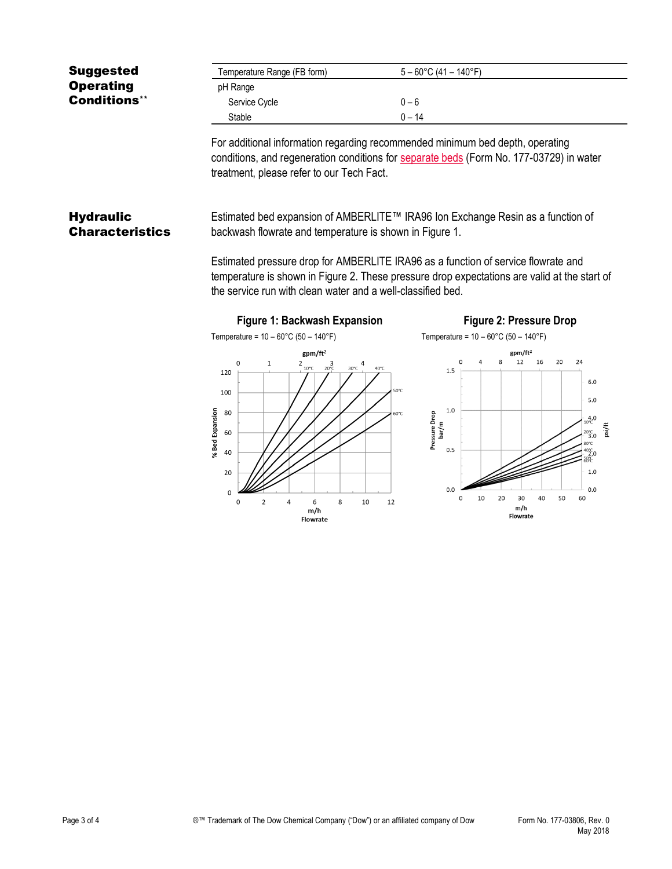| <b>Suggested</b>                           | Temperature Range (FB form)                                                                                                                                                                                                                      | $5 - 60^{\circ}$ C (41 - 140°F)                                                                                                                                                           |  |  |  |
|--------------------------------------------|--------------------------------------------------------------------------------------------------------------------------------------------------------------------------------------------------------------------------------------------------|-------------------------------------------------------------------------------------------------------------------------------------------------------------------------------------------|--|--|--|
| <b>Operating</b>                           | pH Range                                                                                                                                                                                                                                         |                                                                                                                                                                                           |  |  |  |
| <b>Conditions**</b>                        | Service Cycle                                                                                                                                                                                                                                    | $0 - 6$                                                                                                                                                                                   |  |  |  |
|                                            | Stable                                                                                                                                                                                                                                           | $0 - 14$                                                                                                                                                                                  |  |  |  |
|                                            | For additional information regarding recommended minimum bed depth, operating<br>conditions, and regeneration conditions for separate beds (Form No. 177-03729) in water                                                                         |                                                                                                                                                                                           |  |  |  |
|                                            | treatment, please refer to our Tech Fact.                                                                                                                                                                                                        |                                                                                                                                                                                           |  |  |  |
| <b>Hydraulic</b><br><b>Characteristics</b> | Estimated bed expansion of AMBERLITE™ IRA96 Ion Exchange Resin as a function of<br>backwash flowrate and temperature is shown in Figure 1.                                                                                                       |                                                                                                                                                                                           |  |  |  |
|                                            | Estimated pressure drop for AMBERLITE IRA96 as a function of service flowrate and<br>temperature is shown in Figure 2. These pressure drop expectations are valid at the start of<br>the service run with clean water and a well-classified bed. |                                                                                                                                                                                           |  |  |  |
|                                            | <b>Figure 1: Backwash Expansion</b>                                                                                                                                                                                                              | <b>Figure 2: Pressure Drop</b>                                                                                                                                                            |  |  |  |
|                                            | Temperature = $10 - 60^{\circ}$ C (50 - 140°F)                                                                                                                                                                                                   | Temperature = $10 - 60^{\circ}$ C (50 - 140°F)                                                                                                                                            |  |  |  |
|                                            | $gpm/ft^2$                                                                                                                                                                                                                                       | $gpm/ft^2$                                                                                                                                                                                |  |  |  |
|                                            | 0<br>$\overline{2}$<br>$\mathbf{1}$<br>3 <sub>20°C</sub><br>$\Delta$<br>$10^{\circ}$ C<br>$30^{\circ}$ C<br>40°C<br>120<br>100<br>% Bed Expansion<br>80<br>60<br>40                                                                              | 12<br>20<br>24<br>8<br>16<br>1.5<br>6.0<br>50°C<br>5.0<br>1.0<br>Pressure Drop<br>60°C<br>4.0<br>bar/m<br>psi/ft<br>$20^{\circ}C$ <sub>3.0</sub><br>30°C<br>0.5<br>$^{40\degree C}_{2.0}$ |  |  |  |
|                                            | 20<br>$\mathbf 0$<br>$\overline{2}$<br>8<br>0<br>4<br>6<br>10<br>m/h<br>Flowrate                                                                                                                                                                 | 1.0<br>0.0<br>0.0<br>0<br>10<br>20<br>30<br>40<br>50<br>60<br>12<br>m/h<br>Flowrate                                                                                                       |  |  |  |